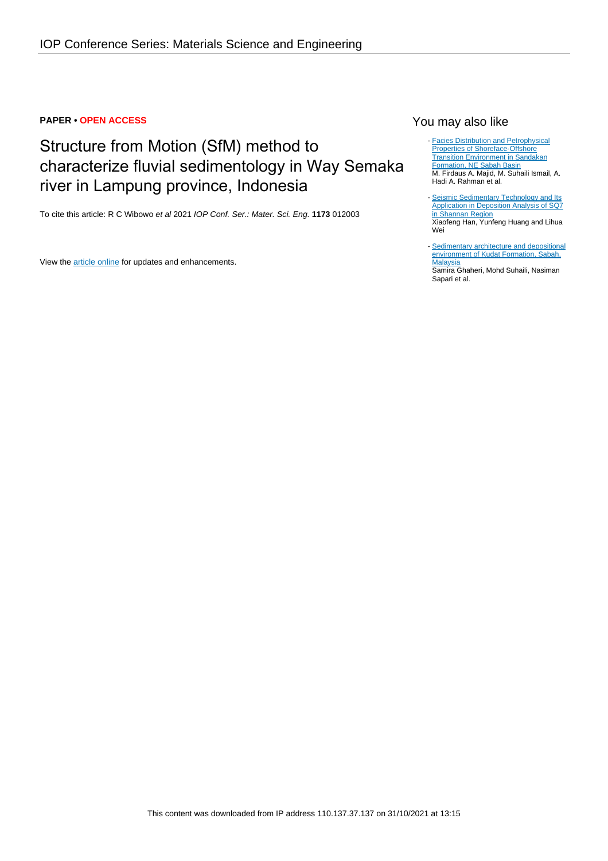### **PAPER • OPEN ACCESS**

# Structure from Motion (SfM) method to characterize fluvial sedimentology in Way Semaka river in Lampung province, Indonesia

To cite this article: R C Wibowo et al 2021 IOP Conf. Ser.: Mater. Sci. Eng. **1173** 012003

View the **[article online](https://doi.org/10.1088/1757-899X/1173/1/012003)** for updates and enhancements.

# You may also like

- **[Facies Distribution and Petrophysical](https://iopscience.iop.org/article/10.1088/1755-1315/88/1/012023)** [Properties of Shoreface-Offshore](https://iopscience.iop.org/article/10.1088/1755-1315/88/1/012023) [Transition Environment in Sandakan](https://iopscience.iop.org/article/10.1088/1755-1315/88/1/012023) [Formation, NE Sabah Basin](https://iopscience.iop.org/article/10.1088/1755-1315/88/1/012023) M. Firdaus A. Majid, M. Suhaili Ismail, A. Hadi A. Rahman et al.

- [Seismic Sedimentary Technology and Its](https://iopscience.iop.org/article/10.1088/1755-1315/558/3/032011) [Application in Deposition Analysis of SQ7](https://iopscience.iop.org/article/10.1088/1755-1315/558/3/032011) [in Shannan Region](https://iopscience.iop.org/article/10.1088/1755-1315/558/3/032011) Xiaofeng Han, Yunfeng Huang and Lihua Wei

- [Sedimentary architecture and depositional](https://iopscience.iop.org/article/10.1088/1757-899X/291/1/012025) [environment of Kudat Formation, Sabah,](https://iopscience.iop.org/article/10.1088/1757-899X/291/1/012025) **[Malaysia](https://iopscience.iop.org/article/10.1088/1757-899X/291/1/012025)** Samira Ghaheri, Mohd Suhaili, Nasiman Sapari et al.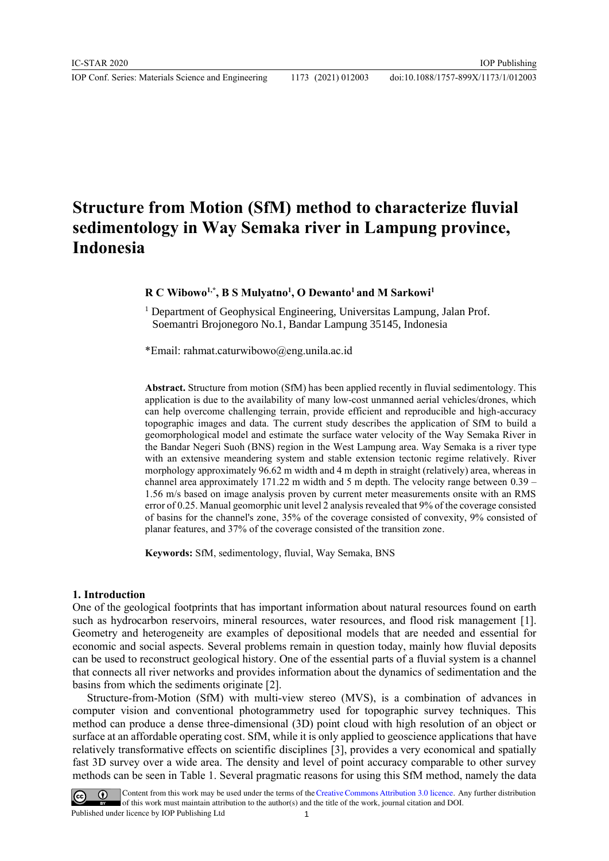IOP Conf. Series: Materials Science and Engineering 1173 (2021) 012003

# **Structure from Motion (SfM) method to characterize fluvial sedimentology in Way Semaka river in Lampung province, Indonesia**

**R C Wibowo1,\* , B S Mulyatno<sup>1</sup> , O Dewanto<sup>1</sup>and M Sarkowi<sup>1</sup>**

<sup>1</sup> Department of Geophysical Engineering, Universitas Lampung, Jalan Prof. Soemantri Brojonegoro No.1, Bandar Lampung 35145, Indonesia

\*Email: rahmat.caturwibowo@eng.unila.ac.id

**Abstract.** Structure from motion (SfM) has been applied recently in fluvial sedimentology. This application is due to the availability of many low-cost unmanned aerial vehicles/drones, which can help overcome challenging terrain, provide efficient and reproducible and high-accuracy topographic images and data. The current study describes the application of SfM to build a geomorphological model and estimate the surface water velocity of the Way Semaka River in the Bandar Negeri Suoh (BNS) region in the West Lampung area. Way Semaka is a river type with an extensive meandering system and stable extension tectonic regime relatively. River morphology approximately 96.62 m width and 4 m depth in straight (relatively) area, whereas in channel area approximately 171.22 m width and 5 m depth. The velocity range between 0.39 – 1.56 m/s based on image analysis proven by current meter measurements onsite with an RMS error of 0.25. Manual geomorphic unit level 2 analysis revealed that 9% of the coverage consisted of basins for the channel's zone, 35% of the coverage consisted of convexity, 9% consisted of planar features, and 37% of the coverage consisted of the transition zone.

**Keywords:** SfM, sedimentology, fluvial, Way Semaka, BNS

#### **1. Introduction**

One of the geological footprints that has important information about natural resources found on earth such as hydrocarbon reservoirs, mineral resources, water resources, and flood risk management [1]. Geometry and heterogeneity are examples of depositional models that are needed and essential for economic and social aspects. Several problems remain in question today, mainly how fluvial deposits can be used to reconstruct geological history. One of the essential parts of a fluvial system is a channel that connects all river networks and provides information about the dynamics of sedimentation and the basins from which the sediments originate [2].

Structure-from-Motion (SfM) with multi-view stereo (MVS), is a combination of advances in computer vision and conventional photogrammetry used for topographic survey techniques. This method can produce a dense three-dimensional (3D) point cloud with high resolution of an object or surface at an affordable operating cost. SfM, while it is only applied to geoscience applications that have relatively transformative effects on scientific disciplines [3], provides a very economical and spatially fast 3D survey over a wide area. The density and level of point accuracy comparable to other survey methods can be seen in Table 1. Several pragmatic reasons for using this SfM method, namely the data

Content from this work may be used under the terms of the Creative Commons Attribution 3.0 licence. Any further distribution of this work must maintain attribution to the author(s) and the title of the work, journal citation and DOI. Published under licence by IOP Publishing Ltd 1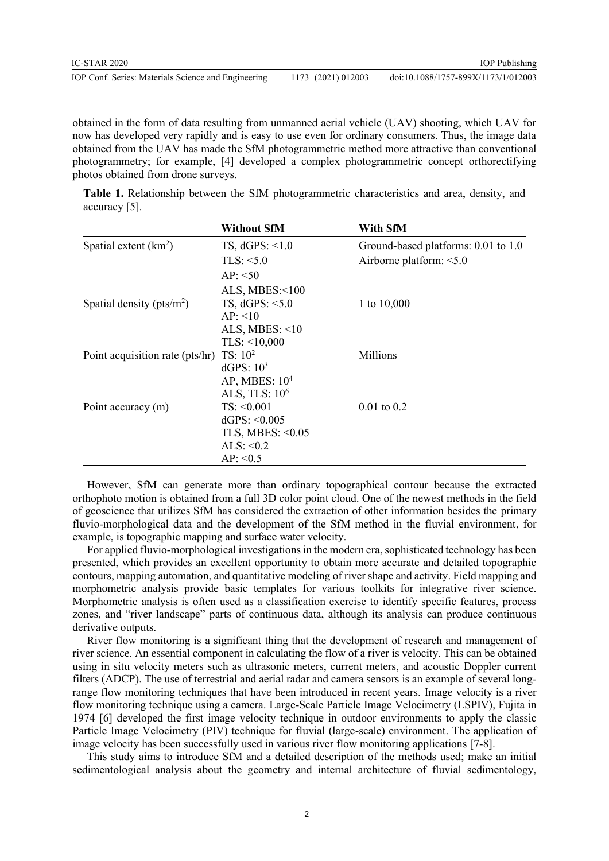obtained in the form of data resulting from unmanned aerial vehicle (UAV) shooting, which UAV for now has developed very rapidly and is easy to use even for ordinary consumers. Thus, the image data obtained from the UAV has made the SfM photogrammetric method more attractive than conventional photogrammetry; for example, [4] developed a complex photogrammetric concept orthorectifying photos obtained from drone surveys.

**Table 1.** Relationship between the SfM photogrammetric characteristics and area, density, and accuracy [5].

|                                 | <b>Without SfM</b>    | With SfM                            |  |
|---------------------------------|-----------------------|-------------------------------------|--|
| Spatial extent $(km2)$          | TS, dGPS: <1.0        | Ground-based platforms: 0.01 to 1.0 |  |
|                                 | TLS: <5.0             | Airborne platform: $<$ 5.0          |  |
|                                 | AP: < 50              |                                     |  |
|                                 | ALS, MBES: $\leq 100$ |                                     |  |
| Spatial density ( $pts/m2$ )    | TS, $dGPS: <5.0$      | 1 to 10,000                         |  |
|                                 | AP: < 10              |                                     |  |
|                                 | ALS, MBES: $<10$      |                                     |  |
|                                 | TLS: <10,000          |                                     |  |
| Point acquisition rate (pts/hr) | TS: 10 <sup>2</sup>   | Millions                            |  |
|                                 | dGPS: $103$           |                                     |  |
|                                 | AP, MBES: $104$       |                                     |  |
|                                 | ALS, TLS: $106$       |                                     |  |
| Point accuracy (m)              | TS: < 0.001           | $0.01$ to $0.2$                     |  |
|                                 | dGPS: $< 0.005$       |                                     |  |
|                                 | TLS, MBES: $< 0.05$   |                                     |  |
|                                 | ALS: $< 0.2$          |                                     |  |
|                                 | AP: < 0.5             |                                     |  |

However, SfM can generate more than ordinary topographical contour because the extracted orthophoto motion is obtained from a full 3D color point cloud. One of the newest methods in the field of geoscience that utilizes SfM has considered the extraction of other information besides the primary fluvio-morphological data and the development of the SfM method in the fluvial environment, for example, is topographic mapping and surface water velocity.

For applied fluvio-morphological investigations in the modern era, sophisticated technology has been presented, which provides an excellent opportunity to obtain more accurate and detailed topographic contours, mapping automation, and quantitative modeling of river shape and activity. Field mapping and morphometric analysis provide basic templates for various toolkits for integrative river science. Morphometric analysis is often used as a classification exercise to identify specific features, process zones, and "river landscape" parts of continuous data, although its analysis can produce continuous derivative outputs.

River flow monitoring is a significant thing that the development of research and management of river science. An essential component in calculating the flow of a river is velocity. This can be obtained using in situ velocity meters such as ultrasonic meters, current meters, and acoustic Doppler current filters (ADCP). The use of terrestrial and aerial radar and camera sensors is an example of several longrange flow monitoring techniques that have been introduced in recent years. Image velocity is a river flow monitoring technique using a camera. Large-Scale Particle Image Velocimetry (LSPIV), Fujita in 1974 [6] developed the first image velocity technique in outdoor environments to apply the classic Particle Image Velocimetry (PIV) technique for fluvial (large-scale) environment. The application of image velocity has been successfully used in various river flow monitoring applications [7-8].

This study aims to introduce SfM and a detailed description of the methods used; make an initial sedimentological analysis about the geometry and internal architecture of fluvial sedimentology,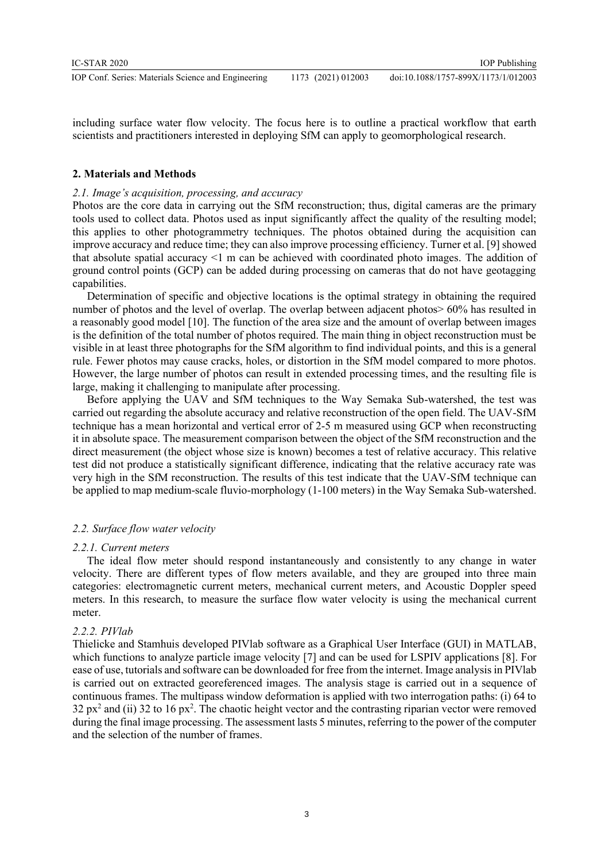including surface water flow velocity. The focus here is to outline a practical workflow that earth scientists and practitioners interested in deploying SfM can apply to geomorphological research.

# **2. Materials and Methods**

# *2.1. Image's acquisition, processing, and accuracy*

Photos are the core data in carrying out the SfM reconstruction; thus, digital cameras are the primary tools used to collect data. Photos used as input significantly affect the quality of the resulting model; this applies to other photogrammetry techniques. The photos obtained during the acquisition can improve accuracy and reduce time; they can also improve processing efficiency. Turner et al. [9] showed that absolute spatial accuracy <1 m can be achieved with coordinated photo images. The addition of ground control points (GCP) can be added during processing on cameras that do not have geotagging capabilities.

Determination of specific and objective locations is the optimal strategy in obtaining the required number of photos and the level of overlap. The overlap between adjacent photos> 60% has resulted in a reasonably good model [10]. The function of the area size and the amount of overlap between images is the definition of the total number of photos required. The main thing in object reconstruction must be visible in at least three photographs for the SfM algorithm to find individual points, and this is a general rule. Fewer photos may cause cracks, holes, or distortion in the SfM model compared to more photos. However, the large number of photos can result in extended processing times, and the resulting file is large, making it challenging to manipulate after processing.

Before applying the UAV and SfM techniques to the Way Semaka Sub-watershed, the test was carried out regarding the absolute accuracy and relative reconstruction of the open field. The UAV-SfM technique has a mean horizontal and vertical error of 2-5 m measured using GCP when reconstructing it in absolute space. The measurement comparison between the object of the SfM reconstruction and the direct measurement (the object whose size is known) becomes a test of relative accuracy. This relative test did not produce a statistically significant difference, indicating that the relative accuracy rate was very high in the SfM reconstruction. The results of this test indicate that the UAV-SfM technique can be applied to map medium-scale fluvio-morphology (1-100 meters) in the Way Semaka Sub-watershed.

# *2.2. Surface flow water velocity*

## *2.2.1. Current meters*

The ideal flow meter should respond instantaneously and consistently to any change in water velocity. There are different types of flow meters available, and they are grouped into three main categories: electromagnetic current meters, mechanical current meters, and Acoustic Doppler speed meters. In this research, to measure the surface flow water velocity is using the mechanical current meter.

## *2.2.2. PIVlab*

Thielicke and Stamhuis developed PIVlab software as a Graphical User Interface (GUI) in MATLAB, which functions to analyze particle image velocity [7] and can be used for LSPIV applications [8]. For ease of use, tutorials and software can be downloaded for free from the internet. Image analysis in PIVlab is carried out on extracted georeferenced images. The analysis stage is carried out in a sequence of continuous frames. The multipass window deformation is applied with two interrogation paths: (i) 64 to 32  $px^2$  and (ii) 32 to 16  $px^2$ . The chaotic height vector and the contrasting riparian vector were removed during the final image processing. The assessment lasts 5 minutes, referring to the power of the computer and the selection of the number of frames.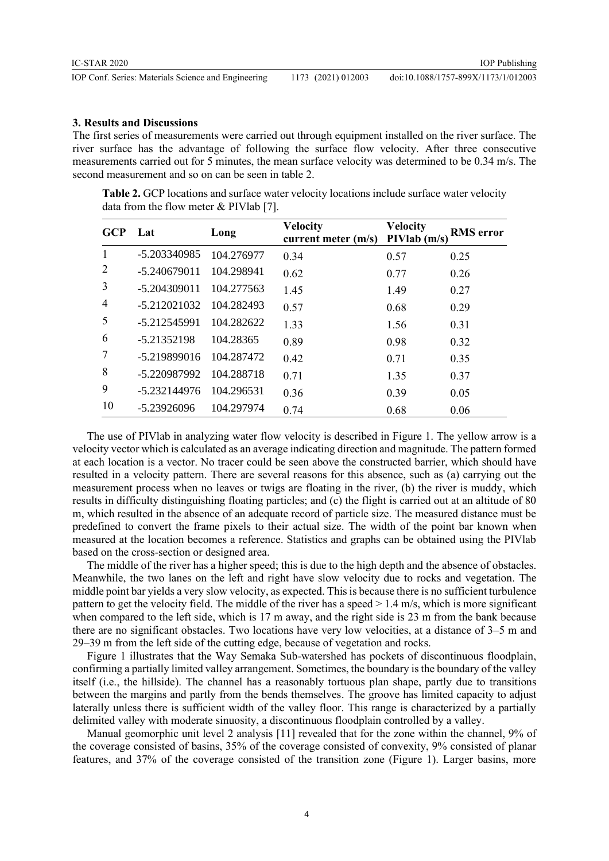#### **3. Results and Discussions**

The first series of measurements were carried out through equipment installed on the river surface. The river surface has the advantage of following the surface flow velocity. After three consecutive measurements carried out for 5 minutes, the mean surface velocity was determined to be 0.34 m/s. The second measurement and so on can be seen in table 2.

**Table 2.** GCP locations and surface water velocity locations include surface water velocity data from the flow meter & PIVlab [7].

| <b>GCP</b>     | Lat            | Long       | <b>Velocity</b><br>current meter $(m/s)$ | <b>Velocity</b><br>PIVlab(m/s) | <b>RMS</b> error |
|----------------|----------------|------------|------------------------------------------|--------------------------------|------------------|
| 1              | -5.203340985   | 104.276977 | 0.34                                     | 0.57                           | 0.25             |
| 2              | $-5.240679011$ | 104.298941 | 0.62                                     | 0.77                           | 0.26             |
| 3              | $-5.204309011$ | 104.277563 | 1.45                                     | 1.49                           | 0.27             |
| $\overline{4}$ | $-5.212021032$ | 104.282493 | 0.57                                     | 0.68                           | 0.29             |
| 5              | -5.212545991   | 104.282622 | 1.33                                     | 1.56                           | 0.31             |
| 6              | -5.21352198    | 104.28365  | 0.89                                     | 0.98                           | 0.32             |
| 7              | $-5.219899016$ | 104.287472 | 0.42                                     | 0.71                           | 0.35             |
| 8              | -5.220987992   | 104.288718 | 0.71                                     | 1.35                           | 0.37             |
| 9              | -5.232144976   | 104.296531 | 0.36                                     | 0.39                           | 0.05             |
| 10             | -5.23926096    | 104.297974 | 0.74                                     | 0.68                           | 0.06             |

The use of PIVlab in analyzing water flow velocity is described in Figure 1. The yellow arrow is a velocity vector which is calculated as an average indicating direction and magnitude. The pattern formed at each location is a vector. No tracer could be seen above the constructed barrier, which should have resulted in a velocity pattern. There are several reasons for this absence, such as (a) carrying out the measurement process when no leaves or twigs are floating in the river, (b) the river is muddy, which results in difficulty distinguishing floating particles; and (c) the flight is carried out at an altitude of 80 m, which resulted in the absence of an adequate record of particle size. The measured distance must be predefined to convert the frame pixels to their actual size. The width of the point bar known when measured at the location becomes a reference. Statistics and graphs can be obtained using the PIVlab based on the cross-section or designed area.

The middle of the river has a higher speed; this is due to the high depth and the absence of obstacles. Meanwhile, the two lanes on the left and right have slow velocity due to rocks and vegetation. The middle point bar yields a very slow velocity, as expected. This is because there is no sufficient turbulence pattern to get the velocity field. The middle of the river has a speed > 1.4 m/s, which is more significant when compared to the left side, which is 17 m away, and the right side is 23 m from the bank because there are no significant obstacles. Two locations have very low velocities, at a distance of 3–5 m and 29–39 m from the left side of the cutting edge, because of vegetation and rocks.

Figure 1 illustrates that the Way Semaka Sub-watershed has pockets of discontinuous floodplain, confirming a partially limited valley arrangement. Sometimes, the boundary is the boundary of the valley itself (i.e., the hillside). The channel has a reasonably tortuous plan shape, partly due to transitions between the margins and partly from the bends themselves. The groove has limited capacity to adjust laterally unless there is sufficient width of the valley floor. This range is characterized by a partially delimited valley with moderate sinuosity, a discontinuous floodplain controlled by a valley.

Manual geomorphic unit level 2 analysis [11] revealed that for the zone within the channel, 9% of the coverage consisted of basins, 35% of the coverage consisted of convexity, 9% consisted of planar features, and 37% of the coverage consisted of the transition zone (Figure 1). Larger basins, more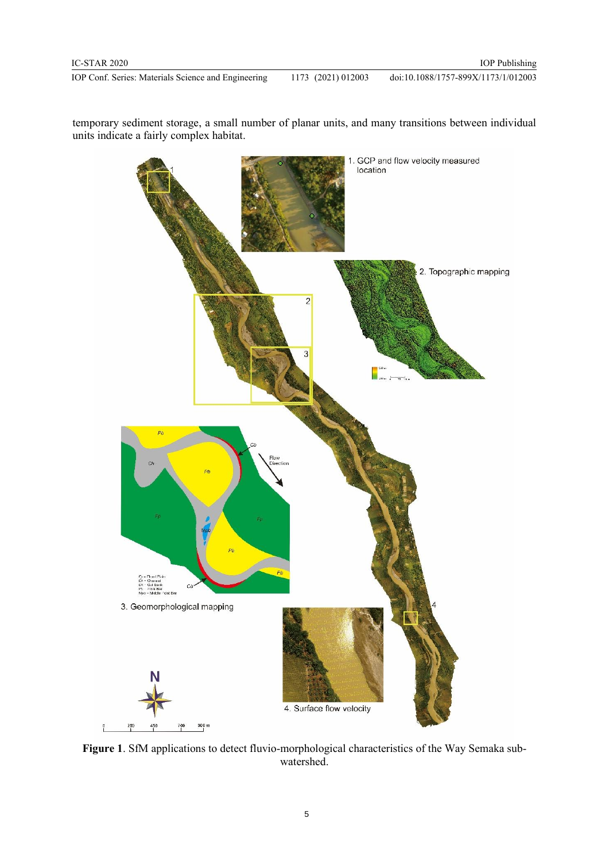IOP Conf. Series: Materials Science and Engineering 1173 (2021) 012003 doi:10.1088/1757-899X/1173/1/012003

temporary sediment storage, a small number of planar units, and many transitions between individual units indicate a fairly complex habitat.



**Figure 1**. SfM applications to detect fluvio-morphological characteristics of the Way Semaka subwatershed.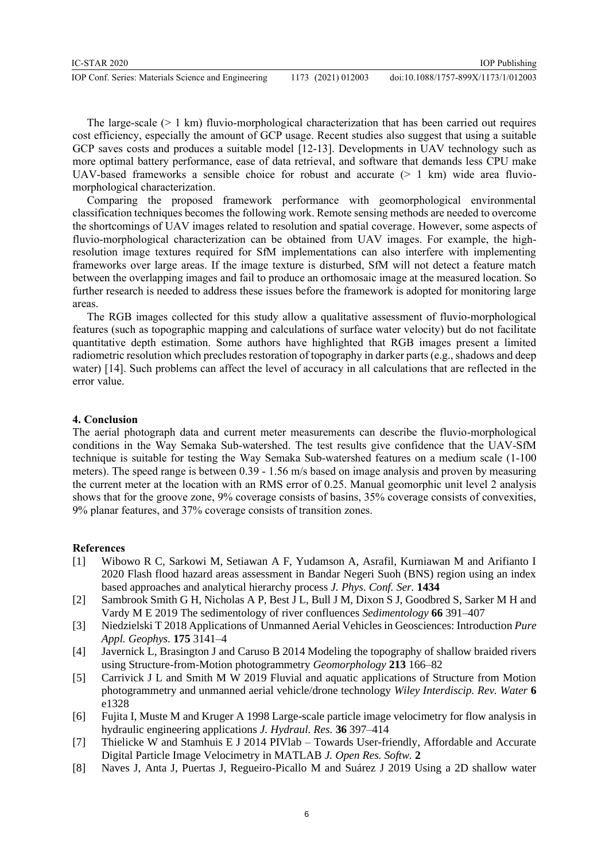The large-scale  $(> 1 \text{ km})$  fluvio-morphological characterization that has been carried out requires cost efficiency, especially the amount of GCP usage. Recent studies also suggest that using a suitable GCP saves costs and produces a suitable model [12-13]. Developments in UAV technology such as more optimal battery performance, ease of data retrieval, and software that demands less CPU make UAV-based frameworks a sensible choice for robust and accurate  $(> 1 \text{ km})$  wide area fluviomorphological characterization.

Comparing the proposed framework performance with geomorphological environmental classification techniques becomes the following work. Remote sensing methods are needed to overcome the shortcomings of UAV images related to resolution and spatial coverage. However, some aspects of fluvio-morphological characterization can be obtained from UAV images. For example, the highresolution image textures required for SfM implementations can also interfere with implementing frameworks over large areas. If the image texture is disturbed, SfM will not detect a feature match between the overlapping images and fail to produce an orthomosaic image at the measured location. So further research is needed to address these issues before the framework is adopted for monitoring large areas.

The RGB images collected for this study allow a qualitative assessment of fluvio-morphological features (such as topographic mapping and calculations of surface water velocity) but do not facilitate quantitative depth estimation. Some authors have highlighted that RGB images present a limited radiometric resolution which precludes restoration of topography in darker parts (e.g., shadows and deep water) [14]. Such problems can affect the level of accuracy in all calculations that are reflected in the error value.

# **4. Conclusion**

The aerial photograph data and current meter measurements can describe the fluvio-morphological conditions in the Way Semaka Sub-watershed. The test results give confidence that the UAV-SfM technique is suitable for testing the Way Semaka Sub-watershed features on a medium scale (1-100 meters). The speed range is between 0.39 - 1.56 m/s based on image analysis and proven by measuring the current meter at the location with an RMS error of 0.25. Manual geomorphic unit level 2 analysis shows that for the groove zone, 9% coverage consists of basins, 35% coverage consists of convexities, 9% planar features, and 37% coverage consists of transition zones.

## **References**

- [1] Wibowo R C, Sarkowi M, Setiawan A F, Yudamson A, Asrafil, Kurniawan M and Arifianto I 2020 Flash flood hazard areas assessment in Bandar Negeri Suoh (BNS) region using an index based approaches and analytical hierarchy process *J. Phys. Conf. Ser.* **1434**
- [2] Sambrook Smith G H, Nicholas A P, Best J L, Bull J M, Dixon S J, Goodbred S, Sarker M H and Vardy M E 2019 The sedimentology of river confluences *Sedimentology* **66** 391–407
- [3] Niedzielski T 2018 Applications of Unmanned Aerial Vehicles in Geosciences: Introduction *Pure Appl. Geophys.* **175** 3141–4
- [4] Javernick L, Brasington J and Caruso B 2014 Modeling the topography of shallow braided rivers using Structure-from-Motion photogrammetry *Geomorphology* **213** 166–82
- [5] Carrivick J L and Smith M W 2019 Fluvial and aquatic applications of Structure from Motion photogrammetry and unmanned aerial vehicle/drone technology *Wiley Interdiscip. Rev. Water* **6** e1328
- [6] Fujita I, Muste M and Kruger A 1998 Large-scale particle image velocimetry for flow analysis in hydraulic engineering applications *J. Hydraul. Res.* **36** 397–414
- [7] Thielicke W and Stamhuis E J 2014 PIVlab Towards User-friendly, Affordable and Accurate Digital Particle Image Velocimetry in MATLAB *J. Open Res. Softw.* **2**
- [8] Naves J, Anta J, Puertas J, Regueiro-Picallo M and Suárez J 2019 Using a 2D shallow water